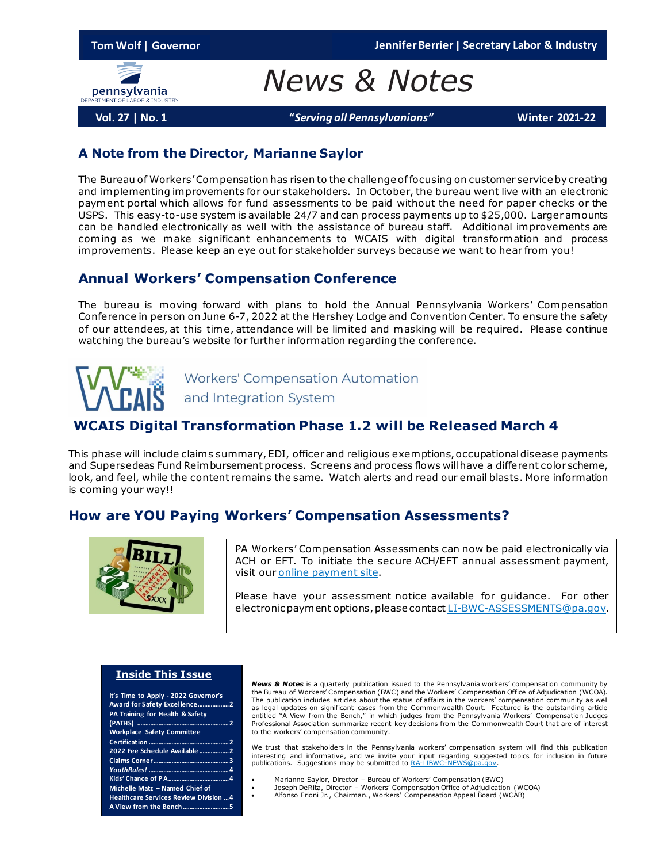

*News & Notes*

**Vol. 27 | No. 1 "***Serving all Pennsylvanians"* **Winter 2021-22**

### **A Note from the Director, Marianne Saylor**

The Bureau of Workers' Compensation has risen to the challenge of focusing on customer service by creating and implementing improvements for our stakeholders. In October, the bureau went live with an electronic payment portal which allows for fund assessments to be paid without the need for paper checks or the USPS. This easy-to-use system is available 24/7 and can process payments up to \$25,000. Larger amounts can be handled electronically as well with the assistance of bureau staff. Additional improvements are coming as we make significant enhancements to WCAIS with digital transformation and process improvements. Please keep an eye out for stakeholder surveys because we want to hear from you!

### **Annual Workers' Compensation Conference**

The bureau is moving forward with plans to hold the Annual Pennsylvania Workers' Compensation Conference in person on June 6-7, 2022 at the Hershey Lodge and Convention Center. To ensure the safety of our attendees, at this time, attendance will be limited and masking will be required. Please continue watching the bureau's website for further information regarding the conference.

> **Workers' Compensation Automation** and Integration System

## **WCAIS Digital Transformation Phase 1.2 will be Released March 4**

This phase will include claim s summary, EDI, officer and religious exemptions, occupational disease payments and Supersedeas Fund Reimbursement process. Screens and process flows will have a different color scheme, look, and feel, while the content remains the same. Watch alerts and read our email blasts. More information is coming your way!!

## **How are YOU Paying Workers' Compensation Assessments?**



PA Workers' Compensation Assessments can now be paid electronically via ACH or EFT. To initiate the secure ACH/EFT annual assessment payment, visit ou[r online payment site](https://www3.thepayplace.com/cmwpa/dli/wcais/challenge.aspx).

Please have your assessment notice available for guidance. For other electronic payment options, please contac[t LI-BWC-ASSESSMENTS@pa.gov.](mailto:LI-BWC-ASSESSMENTS@pa.gov)

#### **Inside This Issue**

| It's Time to Apply - 2022 Governor's<br>Award for Safety Excellence 2<br><b>PA Training for Health &amp; Safety</b> |  |
|---------------------------------------------------------------------------------------------------------------------|--|
|                                                                                                                     |  |
| <b>Workplace Safety Committee</b>                                                                                   |  |
|                                                                                                                     |  |
| 2022 Fee Schedule Available 2                                                                                       |  |
|                                                                                                                     |  |
|                                                                                                                     |  |
|                                                                                                                     |  |
| Michelle Matz - Named Chief of                                                                                      |  |
| <b>Healthcare Services Review Division  4</b>                                                                       |  |
|                                                                                                                     |  |

*News & Notes* is a quarterly publication issued to the Pennsylvania workers' compensation community by the Bureau of Workers' Compensation (BWC) and the Workers' Compensation Office of Adjudication (WCOA). The publication includes articles about the status of affairs in the workers' compensation community as well as legal updates on significant cases from the Commonwealth Court. Featured is the outstanding article entitled "A View from the Bench," in which judges from the Pennsylvania Workers' Compensation Judges Professional Association summarize recent key decisions from the Commonwealth Court that are of interest to the workers' compensation community.

We trust that stakeholders in the Pennsylvania workers' compensation system will find this publication interesting and informative, and we invite your input regarding suggested topics for inclusion in future<br>publications. Suggestions may be submitted to <u>RA-LIBWC-NEWS@pa.gov</u>.

- Marianne Saylor, Director Bureau of Workers' Compensation (BWC)
- Joseph DeRita, Director Workers' Compensation Office of Adjudication (WCOA)
- Alfonso Frioni Jr., Chairman., Workers' Compensation Appeal Board (WCAB)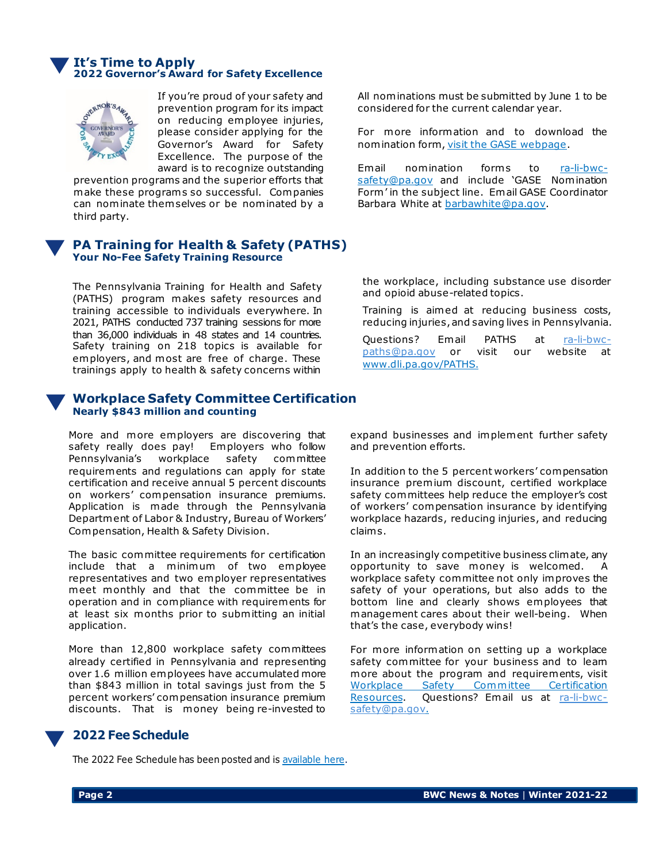#### **It's Time to Apply 2022 Governor's Award for Safety Excellence**



If you're proud of your safety and prevention program for its impact on reducing employee injuries, please consider applying for the Governor's Award for Safety Excellence. The purpose of the award is to recognize outstanding

prevention programs and the superior efforts that make these programs so successful. Companies can nominate them selves or be nominated by a third party.

### **PA Training for Health & Safety (PATHS) Your No-Fee Safety Training Resource**

The Pennsylvania Training for Health and Safety (PATHS) program makes safety resources and training accessible to individuals everywhere. In 2021, PATHS conducted 737 training sessions for more than 36,000 individuals in 48 states and 14 countries. Safety training on 218 topics is available for employers, and most are free of charge. These trainings apply to health & safety concerns within

### **Workplace Safety Committee Certification Nearly \$843 million and counting**

More and more employers are discovering that safety really does pay! Employers who follow Pennsylvania's workplace safety committee requirements and regulations can apply for state certification and receive annual 5 percent discounts on workers' compensation insurance premiums. Application is made through the Pennsylvania Department of Labor & Industry, Bureau of Workers' Compensation, Health & Safety Division.

The basic committee requirements for certification include that a minimum of two employee representatives and two employer representatives meet monthly and that the committee be in operation and in compliance with requirements for at least six months prior to submitting an initial application.

More than 12,800 workplace safety committees already certified in Pennsylvania and representing over 1.6 million employees have accumulated more than \$843 million in total savings just from the 5 percent workers' compensation insurance premium discounts. That is money being re-invested to All nominations must be submitted by June 1 to be considered for the current calendar year.

For more information and to download the nomination form[, visit the GASE webpage](https://www.dli.pa.gov/Businesses/Compensation/WC/safety/gase/Pages/default.aspx).

Email nomination forms to [ra-li-bwc](mailto:ra-li-bwc-safety@pa.gov)[safety@pa.gov](mailto:ra-li-bwc-safety@pa.gov) and include 'GASE Nomination Form' in the subject line. Email GASE Coordinator Barbara White at [barbawhite@pa.gov](mailto:barbawhite@pa.gov).

the workplace, including substance use disorder and opioid abuse-related topics.

Training is aimed at reducing business costs, reducing injuries, and saving lives in Pennsylvania.

Questions? Email PATHS at [ra-li-bwc](mailto:ra-li-bwc-paths@pa.gov)[paths@pa.gov](mailto:ra-li-bwc-paths@pa.gov) or visit our website at [www.dli.pa.gov/PATHS.](http://www.dli.pa.gov/PATHS)

expand businesses and implement further safety and prevention efforts.

In addition to the 5 percent workers' compensation insurance premium discount, certified workplace safety committees help reduce the employer's cost of workers' compensation insurance by identifying workplace hazards, reducing injuries, and reducing claim s.

In an increasingly competitive business climate, any opportunity to save money is welcomed. A workplace safety committee not only improves the safety of your operations, but also adds to the bottom line and clearly shows employees that management cares about their well-being. When that's the case, everybody wins!

For more information on setting up a workplace safety committee for your business and to leam more about the program and requirements, visit [Workplace Safety Committee Certification](https://www.dli.pa.gov/Businesses/Compensation/WC/safety/committee/Pages/default.aspx)  [Resources.](https://www.dli.pa.gov/Businesses/Compensation/WC/safety/committee/Pages/default.aspx) Questions? Email us at [ra-li-bwc](mailto:ra-li-bwc-safety@pa.gov)[safety@pa.gov.](mailto:ra-li-bwc-safety@pa.gov)

### **2022 Fee Schedule**

The 2022 Fee Schedule has been posted and i[s available here.](https://www.dli.pa.gov/Businesses/Compensation/WC/HCSR/MedFeeReview/Fee%20Schedule/Pages/default.aspx)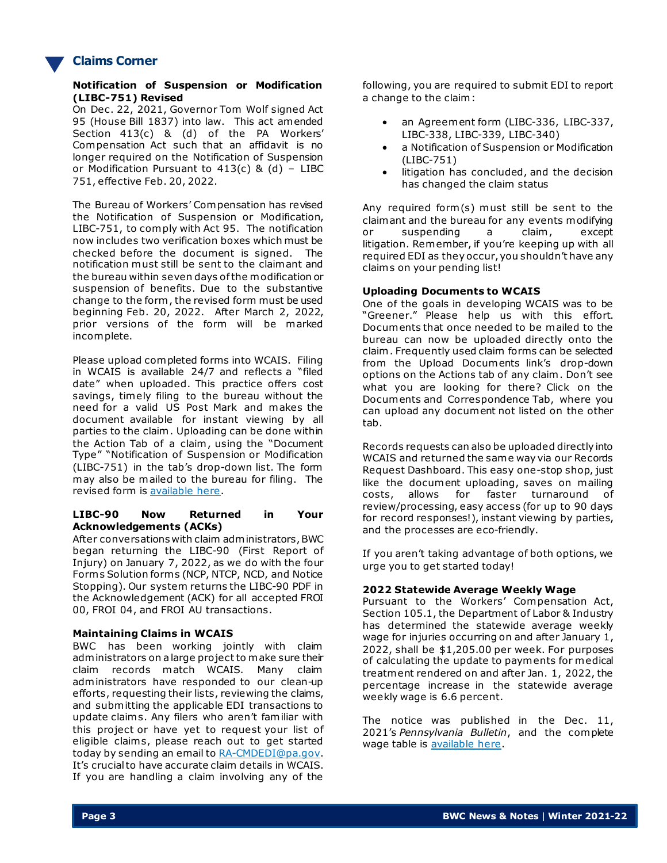

### **Claims Corner**

#### **Notification of Suspension or Modification (LIBC-751) Revised**

On Dec. 22, 2021, Governor Tom Wolf signed Act 95 (House Bill 1837) into law. This act amended Section 413(c) & (d) of the PA Workers' Compensation Act such that an affidavit is no longer required on the Notification of Suspension or Modification Pursuant to 413(c) & (d) – LIBC 751, effective Feb. 20, 2022.

The Bureau of Workers' Compensation has revised the Notification of Suspension or Modification, LIBC-751, to comply with Act 95. The notification now includes two verification boxes which must be checked before the document is signed. The notification must still be sent to the claimant and the bureau within seven days of the modification or suspension of benefits. Due to the substantive change to the form , the revised form must be used beginning Feb. 20, 2022. After March 2, 2022, prior versions of the form will be marked incomplete.

Please upload completed forms into WCAIS. Filing in WCAIS is available 24/7 and reflects a "filed date" when uploaded. This practice offers cost savings, timely filing to the bureau without the need for a valid US Post Mark and makes the document available for instant viewing by all parties to the claim . Uploading can be done within the Action Tab of a claim, using the "Document Type" "Notification of Suspension or Modification (LIBC-751) in the tab's drop-down list. The form may also be mailed to the bureau for filing. The revised form i[s available here.](https://www.dli.pa.gov/Businesses/Compensation/WC/Pages/Quick-Reference-Guide-to-LIBC-Forms-BWC-and-OCR.aspx)

#### **LIBC-90 Now Returned in Your Acknowledgements (ACKs)**

After conversations with claim administrators, BWC began returning the LIBC-90 (First Report of Injury) on January 7, 2022, as we do with the four Form s Solution form s (NCP, NTCP, NCD, and Notice Stopping). Our system returns the LIBC-90 PDF in the Acknowledgement (ACK) for all accepted FROI 00, FROI 04, and FROI AU transactions.

#### **Maintaining Claims in WCAIS**

BWC has been working jointly with claim administrators on a large project to make sure their claim records match WCAIS. Many claim administrators have responded to our clean-up efforts, requesting their lists, reviewing the claims, and submitting the applicable EDI transactions to update claim s. Any filers who aren't familiar with this project or have yet to request your list of eligible claim s, please reach out to get started today by sending an email to [RA-CMDEDI@pa.gov.](mailto:RA-CMDEDI@pa.gov) It's crucial to have accurate claim details in WCAIS. If you are handling a claim involving any of the

following, you are required to submit EDI to report a change to the claim:

- an Agreement form (LIBC-336, LIBC-337, LIBC-338, LIBC-339, LIBC-340)
- a Notification of Suspension or Modification (LIBC-751)
- litigation has concluded, and the decision has changed the claim status

Any required form(s) must still be sent to the claimant and the bureau for any events modifying or suspending a claim, except litigation. Remember, if you're keeping up with all required EDI as they occur, you shouldn't have any claim s on your pending list!

#### **Uploading Documents to WCAIS**

One of the goals in developing WCAIS was to be "Greener." Please help us with this effort. Documents that once needed to be mailed to the bureau can now be uploaded directly onto the claim . Frequently used claim forms can be selected from the Upload Documents link's drop-down options on the Actions tab of any claim . Don't see what you are looking for there? Click on the Documents and Correspondence Tab, where you can upload any document not listed on the other tab.

Records requests can also be uploaded directly into WCAIS and returned the same way via our Records Request Dashboard. This easy one-stop shop, just like the document uploading, saves on mailing costs, allows for faster turnaround of review/processing, easy access (for up to 90 days for record responses!), instant viewing by parties, and the processes are eco-friendly.

If you aren't taking advantage of both options, we urge you to get started today!

#### **2022 Statewide Average Weekly Wage**

Pursuant to the Workers' Compensation Act, Section 105.1, the Department of Labor & Industry has determined the statewide average weekly wage for injuries occurring on and after January 1, 2022, shall be \$1,205.00 per week. For purposes of calculating the update to payments for medical treatment rendered on and after Jan. 1, 2022, the percentage increase in the statewide average weekly wage is 6.6 percent.

The notice was published in the Dec. 11, 2021's *Pennsylvania Bulletin*, and the complete wage table is [available here.](https://www.dli.pa.gov/Businesses/Compensation/WC/claims/Pages/Statewide-Average-Weekly-Wage-(SAWW).aspx)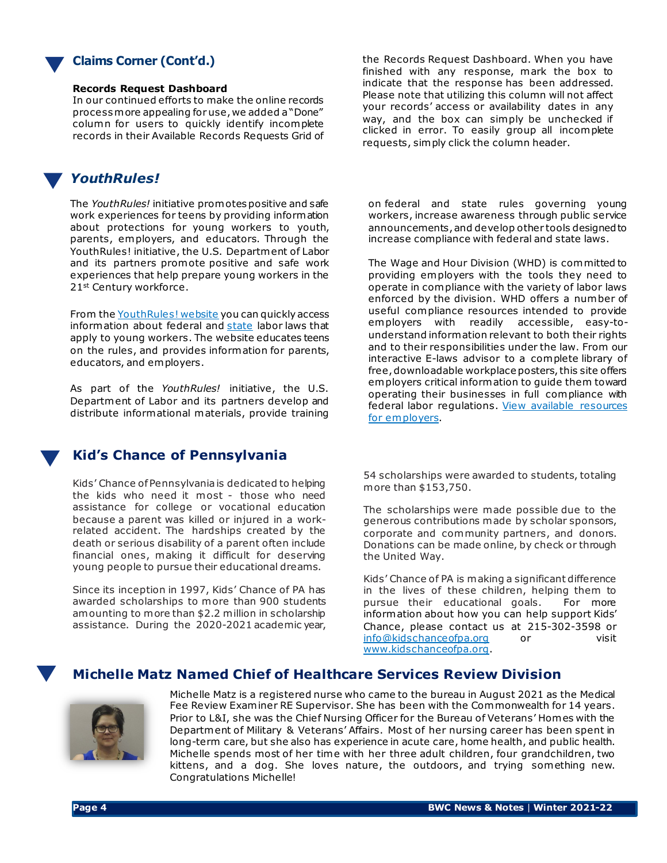

### **Claims Corner (Cont'd.)**

#### **Records Request Dashboard**

In our continued efforts to make the online records process more appealing for use, we added a "Done" column for users to quickly identify incomplete records in their Available Records Requests Grid of

## *YouthRules!*

The *YouthRules!* initiative promotes positive and safe work experiences for teens by providing information about protections for young workers to youth, parents, employers, and educators. Through the YouthRules! initiative, the U.S. Department of Labor and its partners promote positive and safe work experiences that help prepare young workers in the 21st Century workforce.

From the [YouthRules! website](https://www.dol.gov/agencies/whd/youthrules) you can quickly access information about federal and [state](https://www.dol.gov/agencies/whd/state) labor laws that apply to young workers. The website educates teens on the rules, and provides information for parents, educators, and employers.

As part of the *YouthRules!* initiative, the U.S. Department of Labor and its partners develop and distribute informational materials, provide training

### **Kid's Chance of Pennsylvania**

Kids' Chance of Pennsylvania is dedicated to helping the kids who need it most - those who need assistance for college or vocational education because a parent was killed or injured in a workrelated accident. The hardships created by the death or serious disability of a parent often include financial ones, making it difficult for deserving young people to pursue their educational dreams.

Since its inception in 1997, Kids' Chance of PA has awarded scholarships to more than 900 students amounting to more than \$2.2 million in scholarship assistance. During the 2020-2021 academic year,

the Records Request Dashboard. When you have finished with any response, mark the box to indicate that the response has been addressed. Please note that utilizing this column will not affect your records' access or availability dates in any way, and the box can simply be unchecked if clicked in error. To easily group all incomplete requests, simply click the column header.

on federal and state rules governing young workers, increase awareness through public service announcements, and develop other tools designed to increase compliance with federal and state laws.

The Wage and Hour Division (WHD) is committed to providing employers with the tools they need to operate in compliance with the variety of labor laws enforced by the division. WHD offers a number of useful compliance resources intended to provide employers with readily accessible, easy-tounderstand information relevant to both their rights and to their responsibilities under the law. From our interactive E-laws advisor to a complete library of free, downloadable workplace posters, this site offers employers critical information to guide them toward operating their businesses in full compliance with federal labor regulations. [View available resources](https://www.dol.gov/agencies/whd/employers) for employers.

54 scholarships were awarded to students, totaling more than \$153,750.

The scholarships were made possible due to the generous contributions made by scholar sponsors, corporate and community partners, and donors. Donations can be made online, by check or through the United Way.

Kids' Chance of PA is making a significant difference in the lives of these children, helping them to pursue their educational goals. For more information about how you can help support Kids' Chance, please contact us at 215-302-3598 or [info@kidschanceofpa.org](mailto:info@kidschanceofpa.org) or visit [www.kidschanceofpa.org](http://www.kidschanceofpa.org/).

### **Michelle Matz Named Chief of Healthcare Services Review Division**



Michelle Matz is a registered nurse who came to the bureau in August 2021 as the Medical Fee Review Examiner RE Supervisor. She has been with the Commonwealth for 14 years. Prior to L&I, she was the Chief Nursing Officer for the Bureau of Veterans' Homes with the Department of Military & Veterans' Affairs. Most of her nursing career has been spent in long-term care, but she also has experience in acute care, home health, and public health. Michelle spends most of her time with her three adult children, four grandchildren, two kittens, and a dog. She loves nature, the outdoors, and trying something new. Congratulations Michelle!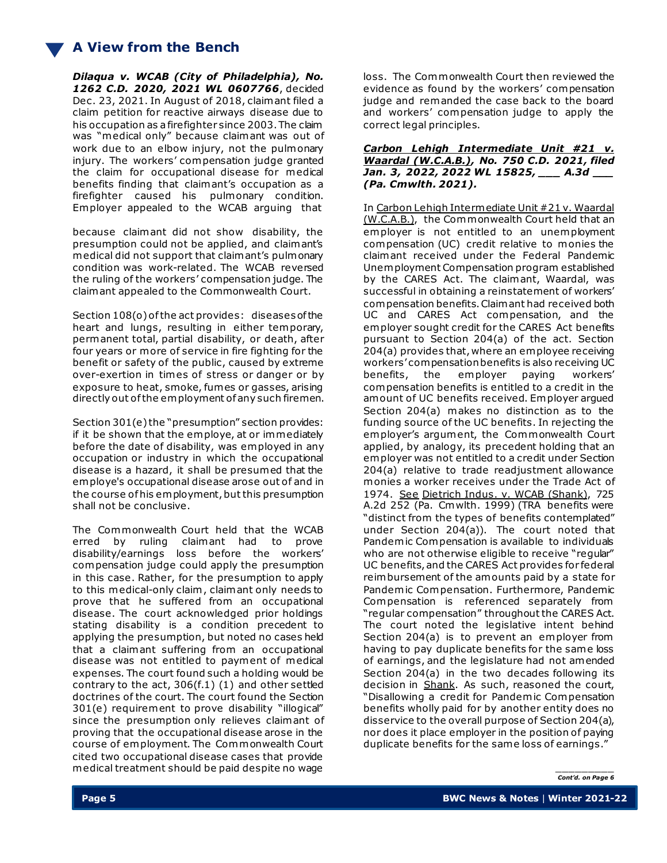*Dilaqua v. WCAB (City of Philadelphia), No. 1262 C.D. 2020, 2021 WL 0607766*, decided Dec. 23, 2021. In August of 2018, claimant filed a claim petition for reactive airways disease due to his occupation as a firefighter since 2003. The claim was "medical only" because claimant was out of work due to an elbow injury, not the pulmonary injury. The workers' compensation judge granted the claim for occupational disease for medical benefits finding that claimant's occupation as a firefighter caused his pulmonary condition. Employer appealed to the WCAB arguing that

because claimant did not show disability, the presumption could not be applied, and claimant's medical did not support that claimant's pulmonary condition was work-related. The WCAB reversed the ruling of the workers' compensation judge. The claimant appealed to the Commonwealth Court.

Section 108(o) of the act provides: diseases of the heart and lungs, resulting in either temporary, permanent total, partial disability, or death, after four years or more of service in fire fighting for the benefit or safety of the public, caused by extreme over-exertion in times of stress or danger or by exposure to heat, smoke, fumes or gasses, arising directly out of the employment of any such firemen.

Section 301(e) the "presumption" section provides: if it be shown that the employe, at or immediately before the date of disability, was employed in any occupation or industry in which the occupational disease is a hazard, it shall be presumed that the employe's occupational disease arose out of and in the course of his employment, but this presumption shall not be conclusive.

The Commonwealth Court held that the WCAB erred by ruling claimant had to prove disability/earnings loss before the workers' compensation judge could apply the presumption in this case. Rather, for the presumption to apply to this medical-only claim , claimant only needs to prove that he suffered from an occupational disease. The court acknowledged prior holdings stating disability is a condition precedent to applying the presumption, but noted no cases held that a claimant suffering from an occupational disease was not entitled to payment of medical expenses. The court found such a holding would be contrary to the act, 306(f.1) (1) and other settled doctrines of the court. The court found the Section 301(e) requirement to prove disability "illogical" since the presumption only relieves claimant of proving that the occupational disease arose in the course of employment. The Commonwealth Court cited two occupational disease cases that provide medical treatment should be paid despite no wage

loss. The Commonwealth Court then reviewed the evidence as found by the workers' compensation judge and remanded the case back to the board and workers' compensation judge to apply the correct legal principles.

*Carbon Lehigh Intermediate Unit #21 v. Waardal (W.C.A.B.), No. 750 C.D. 2021, filed Jan. 3, 2022, 2022 WL 15825, \_\_\_ A.3d \_\_\_ (Pa. Cmwlth. 2021).*

In Carbon Lehigh Intermediate Unit #21 v. Waardal (W.C.A.B.), the Commonwealth Court held that an employer is not entitled to an unemployment compensation (UC) credit relative to monies the claimant received under the Federal Pandemic Unemployment Compensation program established by the CARES Act. The claimant, Waardal, was successful in obtaining a reinstatement of workers' compensation benefits. Claimant had received both UC and CARES Act compensation, and the employer sought credit for the CARES Act benefits pursuant to Section 204(a) of the act. Section 204(a) provides that, where an employee receiving workers' compensation benefits is also receiving UC benefits, the employer paying workers' compensation benefits is entitled to a credit in the amount of UC benefits received. Employer argued Section 204(a) makes no distinction as to the funding source of the UC benefits. In rejecting the employer's argument, the Commonwealth Court applied, by analogy, its precedent holding that an employer was not entitled to a credit under Section 204(a) relative to trade readjustment allowance monies a worker receives under the Trade Act of 1974. See Dietrich Indus. v. WCAB (Shank), 725 A.2d 252 (Pa. Cmwlth. 1999) (TRA benefits were "distinct from the types of benefits contemplated" under Section 204(a)). The court noted that Pandemic Compensation is available to individuals who are not otherwise eligible to receive "regular" UC benefits, and the CARES Act provides for federal reimbursement of the amounts paid by a state for Pandemic Compensation. Furthermore, Pandemic Compensation is referenced separately from "regular compensation" throughout the CARES Act. The court noted the legislative intent behind Section 204(a) is to prevent an employer from having to pay duplicate benefits for the same loss of earnings, and the legislature had not amended Section 204(a) in the two decades following its decision in Shank. As such, reasoned the court, "Disallowing a credit for Pandemic Compensation benefits wholly paid for by another entity does no disservice to the overall purpose of Section 204(a), nor does it place employer in the position of paying duplicate benefits for the same loss of earnings."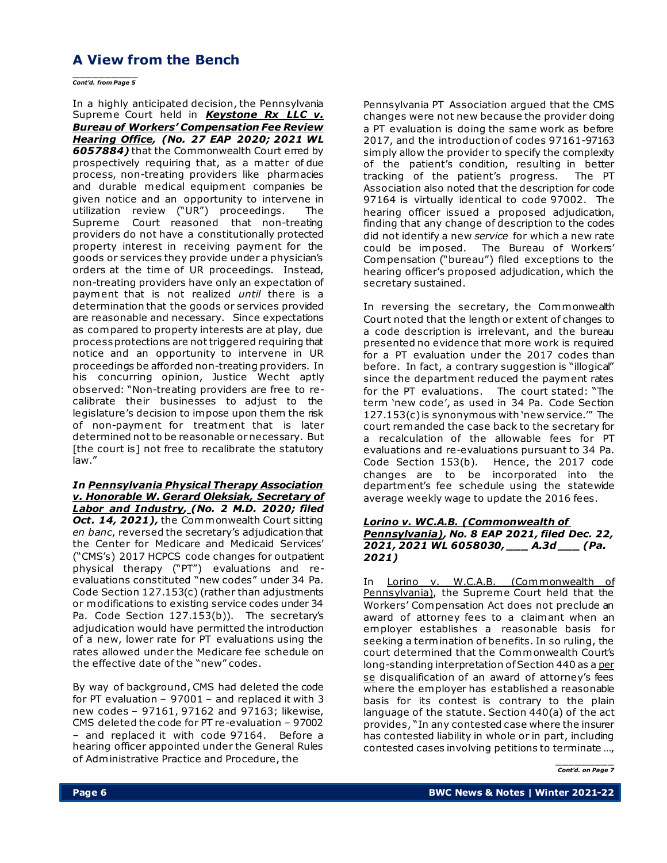\_\_\_\_\_\_\_\_\_\_ *Cont'd. from Page 5*

In a highly anticipated decision, the Pennsylvania Supreme Court held in *Keystone Rx LLC v. Bureau of Workers' Compensation Fee Review Hearing Office, (No. 27 EAP 2020; 2021 WL 6057884)* that the Commonwealth Court erred by prospectively requiring that, as a matter of due process, non-treating providers like pharmacies and durable medical equipment companies be given notice and an opportunity to intervene in utilization review ("UR") proceedings. The Supreme Court reasoned that non-treating providers do not have a constitutionally protected property interest in receiving payment for the goods or services they provide under a physician's orders at the time of UR proceedings. Instead, non-treating providers have only an expectation of payment that is not realized *until* there is a determination that the goods or services provided are reasonable and necessary. Since expectations as compared to property interests are at play, due process protections are not triggered requiring that notice and an opportunity to intervene in UR proceedings be afforded non-treating providers. In his concurring opinion, Justice Wecht aptly observed: "Non-treating providers are free to recalibrate their businesses to adjust to the legislature's decision to impose upon them the risk of non-payment for treatment that is later determined not to be reasonable or necessary. But [the court is] not free to recalibrate the statutory law."

*In Pennsylvania Physical Therapy Association v. Honorable W. Gerard Oleksiak, Secretary of Labor and Industry, (No. 2 M.D. 2020; filed*  **Oct. 14, 2021), the Commonwealth Court sitting** *en banc*, reversed the secretary's adjudication that the Center for Medicare and Medicaid Services' ("CMS's) 2017 HCPCS code changes for outpatient physical therapy ("PT") evaluations and reevaluations constituted "new codes" under 34 Pa. Code Section 127.153(c) (rather than adjustments or modifications to existing service codes under 34 Pa. Code Section 127.153(b)). The secretary's adjudication would have permitted the introduction of a new, lower rate for PT evaluations using the rates allowed under the Medicare fee schedule on the effective date of the "new" codes.

By way of background, CMS had deleted the code for PT evaluation – 97001 – and replaced it with 3 new codes – 97161, 97162 and 97163; likewise, CMS deleted the code for PT re-evaluation – 97002 – and replaced it with code 97164. Before a hearing officer appointed under the General Rules of Administrative Practice and Procedure, the

Pennsylvania PT Association argued that the CMS changes were not new because the provider doing a PT evaluation is doing the same work as before 2017, and the introduction of codes 97161-97163 simply allow the provider to specify the complexity of the patient's condition, resulting in better tracking of the patient's progress. The PT Association also noted that the description for code 97164 is virtually identical to code 97002. The hearing officer issued a proposed adjudication, finding that any change of description to the codes did not identify a new *service* for which a new rate could be imposed. The Bureau of Workers' Compensation ("bureau") filed exceptions to the hearing officer's proposed adjudication, which the secretary sustained.

In reversing the secretary, the Commonwealth Court noted that the length or extent of changes to a code description is irrelevant, and the bureau presented no evidence that more work is required for a PT evaluation under the 2017 codes than before. In fact, a contrary suggestion is "illogical" since the department reduced the payment rates for the PT evaluations. The court stated: "The term 'new code', as used in 34 Pa. Code Section 127.153(c) is synonymous with 'new service.'" The court remanded the case back to the secretary for a recalculation of the allowable fees for PT evaluations and re-evaluations pursuant to 34 Pa. Code Section 153(b). Hence, the 2017 code changes are to be incorporated into the department's fee schedule using the statewide average weekly wage to update the 2016 fees.

#### *Lorino v. WC.A.B. (Commonwealth of Pennsylvania), No. 8 EAP 2021, filed Dec. 22, 2021, 2021 WL 6058030, \_\_\_ A.3d \_\_\_ (Pa. 2021)*

In Lorino v. W.C.A.B. (Commonwealth of Pennsylvania), the Supreme Court held that the Workers' Compensation Act does not preclude an award of attorney fees to a claimant when an employer establishes a reasonable basis for seeking a termination of benefits. In so ruling, the court determined that the Commonwealth Court's long-standing interpretation of Section 440 as a per se disqualification of an award of attorney's fees where the employer has established a reasonable basis for its contest is contrary to the plain language of the statute. Section 440(a) of the act provides, "In any contested case where the insurer has contested liability in whole or in part, including contested cases involving petitions to terminate …,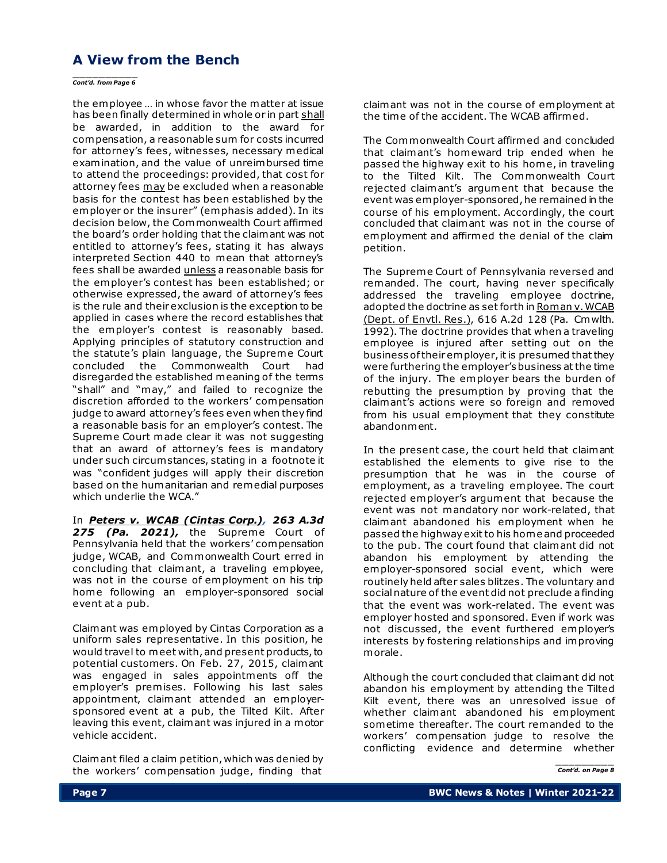# \_\_\_\_\_\_\_\_\_\_ *Cont'd. from Page 6*

the employee … in whose favor the matter at issue has been finally determined in whole or in part shall be awarded, in addition to the award for compensation, a reasonable sum for costs incurred for attorney's fees, witnesses, necessary medical examination, and the value of unreimbursed time to attend the proceedings: provided, that cost for attorney fees may be excluded when a reasonable basis for the contest has been established by the employer or the insurer" (emphasis added). In its decision below, the Commonwealth Court affirmed the board's order holding that the claimant was not entitled to attorney's fees, stating it has always interpreted Section 440 to mean that attorney's fees shall be awarded unless a reasonable basis for the employer's contest has been established; or otherwise expressed, the award of attorney's fees is the rule and their exclusion is the exception to be applied in cases where the record establishes that the employer's contest is reasonably based. Applying principles of statutory construction and the statute's plain language, the Supreme Court concluded the Commonwealth Court had disregarded the established meaning of the terms "shall" and "may," and failed to recognize the discretion afforded to the workers' compensation judge to award attorney's fees even when they find a reasonable basis for an employer's contest. The Supreme Court made clear it was not suggesting that an award of attorney's fees is mandatory under such circum stances, stating in a footnote it was "confident judges will apply their discretion based on the humanitarian and remedial purposes which underlie the WCA."

In *Peters v. WCAB (Cintas Corp.), 263 A.3d 275 (Pa. 2021),* the Supreme Court of Pennsylvania held that the workers' compensation judge, WCAB, and Commonwealth Court erred in concluding that claimant, a traveling employee, was not in the course of employment on his trip home following an employer-sponsored social event at a pub.

Claimant was employed by Cintas Corporation as a uniform sales representative. In this position, he would travel to meet with, and present products, to potential customers. On Feb. 27, 2015, claimant was engaged in sales appointments off the employer's premises. Following his last sales appointment, claimant attended an employersponsored event at a pub, the Tilted Kilt. After leaving this event, claimant was injured in a motor vehicle accident.

Claimant filed a claim petition, which was denied by the workers' compensation judge, finding that

claimant was not in the course of employment at the time of the accident. The WCAB affirmed.

The Commonwealth Court affirmed and concluded that claimant's homeward trip ended when he passed the highway exit to his home, in traveling to the Tilted Kilt. The Commonwealth Court rejected claimant's argument that because the event was employer-sponsored, he remained in the course of his employment. Accordingly, the court concluded that claimant was not in the course of employment and affirmed the denial of the claim petition.

The Supreme Court of Pennsylvania reversed and remanded. The court, having never specifically addressed the traveling employee doctrine, adopted the doctrine as set forth in Roman v. WCAB (Dept. of Envtl. Res.), 616 A.2d 128 (Pa. Cmwlth. 1992). The doctrine provides that when a traveling employee is injured after setting out on the business of their employer, it is presumed that they were furthering the employer's business at the time of the injury. The employer bears the burden of rebutting the presumption by proving that the claimant's actions were so foreign and removed from his usual employment that they constitute abandonment.

In the present case, the court held that claimant established the elements to give rise to the presumption that he was in the course of employment, as a traveling employee. The court rejected employer's argument that because the event was not mandatory nor work-related, that claimant abandoned his employment when he passed the highway exit to his home and proceeded to the pub. The court found that claimant did not abandon his employment by attending the employer-sponsored social event, which were routinely held after sales blitzes. The voluntary and social nature of the event did not preclude a finding that the event was work-related. The event was employer hosted and sponsored. Even if work was not discussed, the event furthered employer's interests by fostering relationships and improving morale.

Although the court concluded that claimant did not abandon his employment by attending the Tilted Kilt event, there was an unresolved issue of whether claimant abandoned his employment sometime thereafter. The court remanded to the workers' compensation judge to resolve the conflicting evidence and determine whether